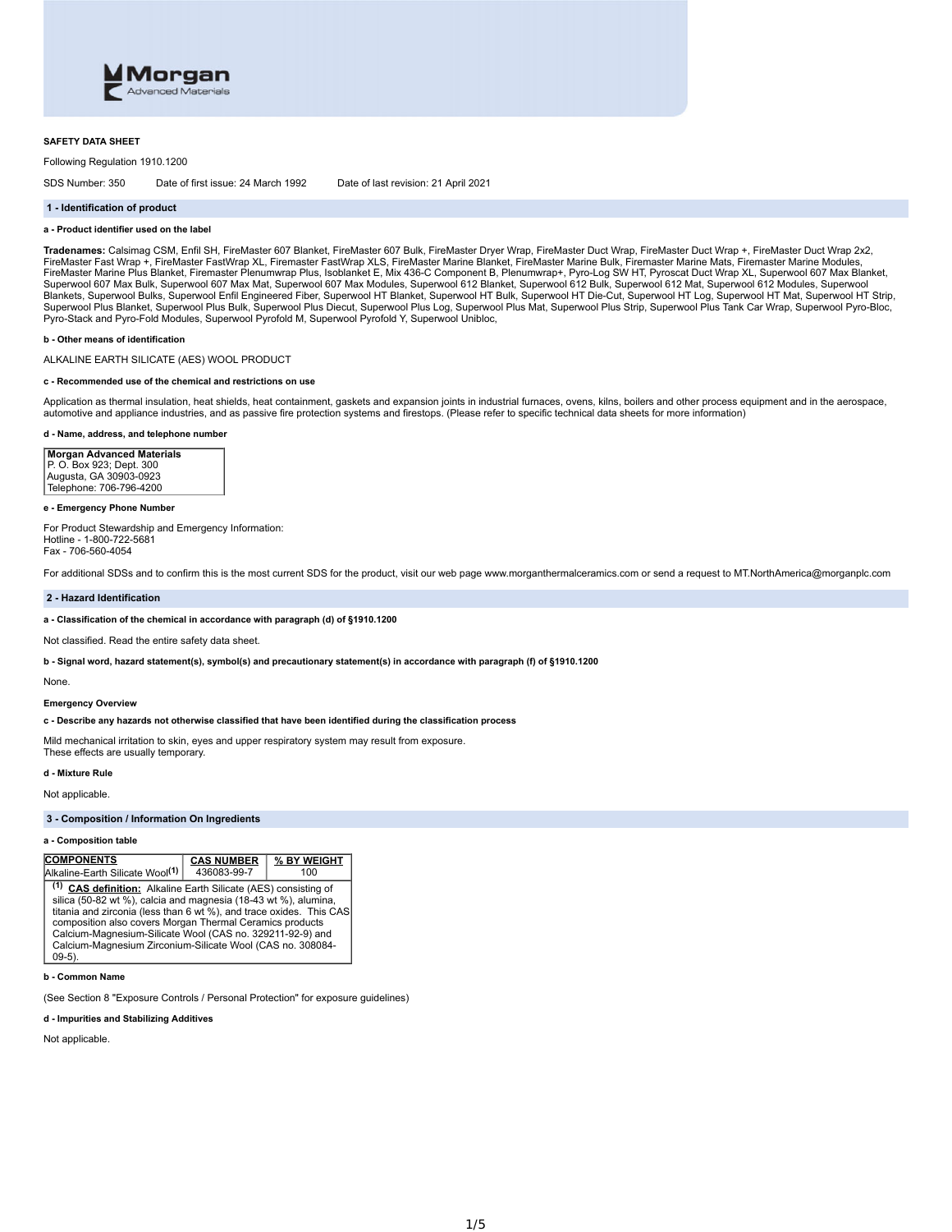

### **SAFETY DATA SHEET**

Following Regulation 1910.1200

SDS Number: 350 Date of first issue: 24 March 1992 Date of last revision: 21 April 2021

### **1 - Identification of product**

### **a - Product identifier used on the label**

**Tradenames:** Calsimag CSM, Enfil SH, FireMaster 607 Blanket, FireMaster 607 Bulk, FireMaster Dryer Wrap, FireMaster Duct Wrap, FireMaster Duct Wrap +, FireMaster Duct Wrap 2x2, FireMaster Fast Wrap +, FireMaster FastWrap XL, Firemaster FastWrap XLS, FireMaster Marine Blanket, FireMaster Marine Bulk, Firemaster Marine Mats, Firemaster Marine Mater Marine Modules, FireMaster Marine Plus Blanket, Firemaster Plenumwrap Plus, Isoblanket E, Mix 436-C Component B, Plenumwrap+, Pyro-Log SW HT, Pyroscat Duct Wrap XL, Superwool 607 Max Blanket,<br>Superwool 607 Max Bulk, Superwool 607 Max Mat, Blankets, Superwool Bulks, Superwool Enfil Engineered Fiber, Superwool HT Balket, Superwool HT Duilk, Superwool HT Die-Cut, Superwool HT Log, Superwool HT Mat, Superwool HT Strip,<br>Superwool Plus Blanket, Superwool Plus Bul Pyro-Stack and Pyro-Fold Modules, Superwool Pyrofold M, Superwool Pyrofold Y, Superwool Unibloc,

# **b - Other means of identification**

ALKALINE EARTH SILICATE (AES) WOOL PRODUCT

#### **c - Recommended use of the chemical and restrictions on use**

Application as thermal insulation, heat shields, heat containment, gaskets and expansion joints in industrial furnaces, ovens, kilns, boilers and other process equipment and in the aerospace, automotive and appliance industries, and as passive fire protection systems and firestops. (Please refer to specific technical data sheets for more information)

# **d - Name, address, and telephone number**

**Morgan Advanced Materials** P. O. Box 923; Dept. 300 Augusta, GA 30903-0923 Telephone: 706-796-4200

# **e - Emergency Phone Number**

For Product Stewardship and Emergency Information: Hotline - 1-800-722-5681 Fax - 706-560-4054

For additional SDSs and to confirm this is the most current SDS for the product, visit our web page www.morganthermalceramics.com or send a request to MT.NorthAmerica@morganplc.com

# **2 - Hazard Identification**

# **a - Classification of the chemical in accordance with paragraph (d) of §1910.1200**

Not classified. Read the entire safety data sheet.

b - Signal word, hazard statement(s), symbol(s) and precautionary statement(s) in accordance with paragraph (f) of §1910.1200

None.

# **Emergency Overview**

#### **c - Describe any hazards not otherwise classified that have been identified during the classification process**

Mild mechanical irritation to skin, eyes and upper respiratory system may result from exposure. These effects are usually temporary.

# **d - Mixture Rule**

Not applicable.

# **3 - Composition / Information On Ingredients**

### **a - Composition table**

| <b>COMPONENTS</b>                                                                                                                                                                                                                                                                                                                                                                                                        | <b>CAS NUMBER</b> | % BY WEIGHT |  |  |
|--------------------------------------------------------------------------------------------------------------------------------------------------------------------------------------------------------------------------------------------------------------------------------------------------------------------------------------------------------------------------------------------------------------------------|-------------------|-------------|--|--|
| Alkaline-Earth Silicate Wool <sup>(1)</sup>                                                                                                                                                                                                                                                                                                                                                                              | 436083-99-7       | 100         |  |  |
| <sup>(1)</sup> CAS definition: Alkaline Earth Silicate (AES) consisting of<br>silica (50-82 wt %), calcia and magnesia (18-43 wt %), alumina,<br>titania and zirconia (less than 6 wt %), and trace oxides. This CAS<br>composition also covers Morgan Thermal Ceramics products<br>Calcium-Magnesium-Silicate Wool (CAS no. 329211-92-9) and<br>Calcium-Magnesium Zirconium-Silicate Wool (CAS no. 308084-<br>$09-5$ ). |                   |             |  |  |

# **b - Common Name**

(See Section 8 "Exposure Controls / Personal Protection" for exposure guidelines)

# **d - Impurities and Stabilizing Additives**

Not applicable.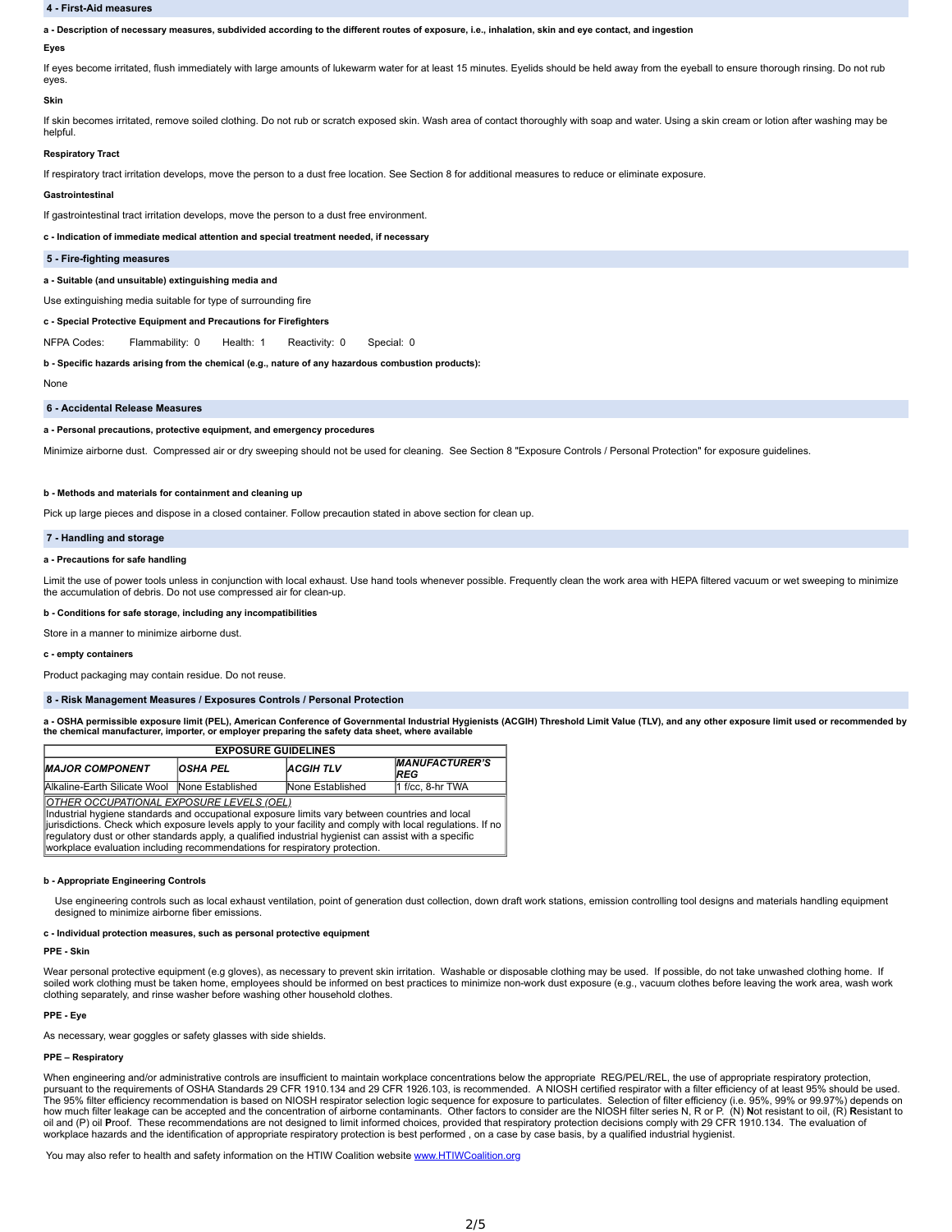# **4 - First-Aid measures**

a - Description of necessary measures, subdivided according to the different routes of exposure, i.e., inhalation, skin and eye contact, and ingestion

### **Eyes**

If eyes become irritated, flush immediately with large amounts of lukewarm water for at least 15 minutes. Eyelids should be held away from the eyeball to ensure thorough rinsing. Do not rub eyes.

### **Skin**

If skin becomes irritated, remove soiled clothing. Do not rub or scratch exposed skin. Wash area of contact thoroughly with soap and water. Using a skin cream or lotion after washing may be helpful.

### **Respiratory Tract**

If respiratory tract irritation develops, move the person to a dust free location. See Section 8 for additional measures to reduce or eliminate exposure.

# **Gastrointestinal**

If gastrointestinal tract irritation develops, move the person to a dust free environment.

**c - Indication of immediate medical attention and special treatment needed, if necessary**

# **5 - Fire-fighting measures**

**a - Suitable (and unsuitable) extinguishing media and**

Use extinguishing media suitable for type of surrounding fire

**c - Special Protective Equipment and Precautions for Firefighters**

NFPA Codes: Flammability: 0 Health: 1 Reactivity: 0 Special: 0

**b - Specific hazards arising from the chemical (e.g., nature of any hazardous combustion products):**

None

# **6 - Accidental Release Measures**

### **a - Personal precautions, protective equipment, and emergency procedures**

Minimize airborne dust. Compressed air or dry sweeping should not be used for cleaning. See Section 8 "Exposure Controls / Personal Protection" for exposure guidelines.

### **b - Methods and materials for containment and cleaning up**

Pick up large pieces and dispose in a closed container. Follow precaution stated in above section for clean up

### **7 - Handling and storage**

### **a - Precautions for safe handling**

Limit the use of power tools unless in conjunction with local exhaust. Use hand tools whenever possible. Frequently clean the work area with HEPA filtered vacuum or wet sweeping to minimize<br>the accumulation of debris. Do n

**b - Conditions for safe storage, including any incompatibilities**

Store in a manner to minimize airborne dust.

### **c - empty containers**

Product packaging may contain residue. Do not reuse.

# **8 - Risk Management Measures / Exposures Controls / Personal Protection**

a - OSHA permissible exposure limit (PEL), American Conference of Governmental Industrial Hygienists (ACGIH) Threshold Limit Value (TLV), and any other exposure limit used or recommended by **the chemical manufacturer, importer, or employer preparing the safety data sheet, where available**

| <b>EXPOSURE GUIDELINES</b>                                                                                                                                                                                                                                                                                                                                                                                                                              |                 |                  |                              |  |  |
|---------------------------------------------------------------------------------------------------------------------------------------------------------------------------------------------------------------------------------------------------------------------------------------------------------------------------------------------------------------------------------------------------------------------------------------------------------|-----------------|------------------|------------------------------|--|--|
| <b>MAJOR COMPONENT</b>                                                                                                                                                                                                                                                                                                                                                                                                                                  | <b>OSHA PEL</b> | <b>ACGIHTLV</b>  | <b>MANUFACTURER'S</b><br>REG |  |  |
| Alkaline-Earth Silicate Wool None Established                                                                                                                                                                                                                                                                                                                                                                                                           |                 | None Established | 1 f/cc. 8-hr TWA             |  |  |
| <u> OTHER_OCCUPATIONAL_EXPOSURE_LEVELS_(OEL)</u><br>Industrial hygiene standards and occupational exposure limits vary between countries and local<br>iurisdictions. Check which exposure levels apply to your facility and comply with local regulations. If no<br>requiatory dust or other standards apply, a qualified industrial hygienist can assist with a specific<br>workplace evaluation including recommendations for respiratory protection. |                 |                  |                              |  |  |

# **b - Appropriate Engineering Controls**

Use engineering controls such as local exhaust ventilation, point of generation dust collection, down draft work stations, emission controlling tool designs and materials handling equipment designed to minimize airborne fiber emissions.

#### **c - Individual protection measures, such as personal protective equipment**

# **PPE -Skin**

Wear personal protective equipment (e.g gloves), as necessary to prevent skin irritation. Washable or disposable clothing may be used. If possible, do not take unwashed clothing home. If soiled work clothing must be taken home, employees should be informed on best practices to minimize non-work dust exposure (e.g., vacuum clothes before leaving the work area, wash work clothing separately, and rinse washer before washing other household clothes.

# **PPE -Eye**

As necessary, wear goggles or safety glasses with side shields.

### **PPE – Respiratory**

When engineering and/or administrative controls are insufficient to maintain workplace concentrations below the appropriate REG/PEL/REL, the use of appropriate respiratory protection, pursuant to the requirements of OSHA Standards 29 CFR 1910.134 and 29 CFR 1926.103, is recommended. A NIOSH certified respirator with a filter efficiency of at least 95% should be used.<br>The 95% filter efficiency recommenda how much filter leakage can be accepted and the concentration of airborne contaminants. Other factors to consider are the NIOSH filter series N, R or P. (N) Not resistant to oil, (R) Resistant to oil and (P) oil Proof. These recommendations are not designed to limit informed choices, provided that respiratory protection decisions comply with 29 CFR 1910.134. The evaluation of<br>workplace hazards and the identificatio

You may also refer to health and safety information on the HTIW Coalition website [www.HTIWCoalition.org](http://www.htiwcoalition.org/)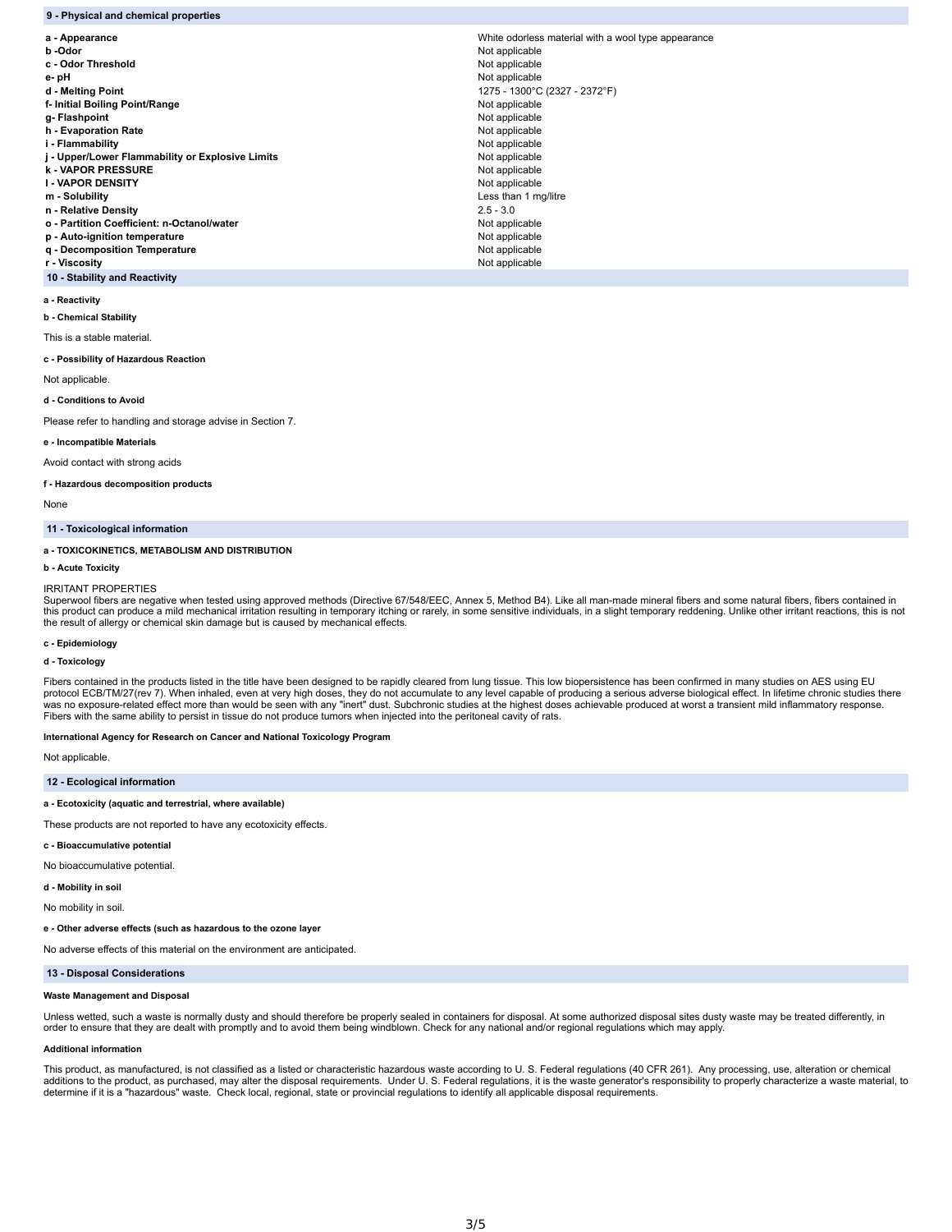| 9 - Physical and chemical properties             |                                                     |
|--------------------------------------------------|-----------------------------------------------------|
| a - Appearance                                   | White odorless material with a wool type appearance |
| b -Odor                                          | Not applicable                                      |
| c - Odor Threshold                               | Not applicable                                      |
| e-pH                                             | Not applicable                                      |
| d - Melting Point                                | 1275 - 1300°C (2327 - 2372°F)                       |
| f- Initial Boiling Point/Range                   | Not applicable                                      |
| g-Flashpoint                                     | Not applicable                                      |
| h - Evaporation Rate                             | Not applicable                                      |
| i - Flammability                                 | Not applicable                                      |
| j - Upper/Lower Flammability or Explosive Limits | Not applicable                                      |
| <b>k-VAPOR PRESSURE</b>                          | Not applicable                                      |
| <b>I - VAPOR DENSITY</b>                         | Not applicable                                      |
| m - Solubility                                   | Less than 1 mg/litre                                |
| n - Relative Density                             | $2.5 - 3.0$                                         |
| o - Partition Coefficient: n-Octanol/water       | Not applicable                                      |
| p - Auto-ignition temperature                    | Not applicable                                      |
| q - Decomposition Temperature                    | Not applicable                                      |
| r - Viscosity                                    | Not applicable                                      |

**a - Reactivity**

**10 - Stability and Reactivity**

#### **b - Chemical Stability**

This is a stable material.

# **c - Possibility of Hazardous Reaction**

Not applicable.

**d - Conditions to Avoid**

Please refer to handling and storage advise in Section 7.

### **e - Incompatible Materials**

Avoid contact with strong acids

# **f - Hazardous decomposition products**

None

# **11 - Toxicological information**

# **a - TOXICOKINETICS, METABOLISM AND DISTRIBUTION**

### **b - Acute Toxicity**

### IRRITANT PROPERTIES

Superwool fibers are negative when tested using approved methods (Directive 67/548/EEC, Annex 5, Method B4). Like all man-made mineral fibers and some natural fibers, fibers contained in this product can produce a mild mechanical irritation resulting in temporary itching or rarely, in some sensitive individuals, in a slight temporary reddening. Unlike other irritant reactions, this is not the result of allergy or chemical skin damage but is caused by mechanical effects.

# **c - Epidemiology**

**d - Toxicology**

Fibers contained in the products listed in the title have been designed to be rapidly cleared from lung tissue. This low biopersistence has been confirmed in many studies on AES using EU<br>protocol ECB/TM/27(rev 7). When inh Fibers with the same ability to persist in tissue do not produce tumors when injected into the peritoneal cavity of rats.

# **International Agency for Research on Cancer and National Toxicology Program**

Not applicable.

# **12 - Ecological information**

# **a - Ecotoxicity (aquatic and terrestrial, where available)**

These products are not reported to have any ecotoxicity effects.

# **c - Bioaccumulative potential**

No bioaccumulative potential.

# **d - Mobility in soil**

No mobility in soil.

# **e - Other adverse effects (such as hazardous to the ozone layer**

No adverse effects of this material on the environment are anticipated.

# **13 - Disposal Considerations**

# **Waste Management and Disposal**

Unless wetted, such a waste is normally dusty and should therefore be properly sealed in containers for disposal. At some authorized disposal sites dusty waste may be treated differently, in order to ensure that they are dealt with promptly and to avoid them being windblown. Check for any national and/or regional regulations which may apply.

# **Additional information**

This product, as manufactured, is not classified as a listed or characteristic hazardous waste according to U. S. Federal regulations (40 CFR 261). Any processing, use, alteration or chemical additions to the product, as purchased, may alter the disposal requirements. Under U. S. Federal regulations, it is the waste generator's responsibility to properly characterize a waste material, to<br>determine if it is a "h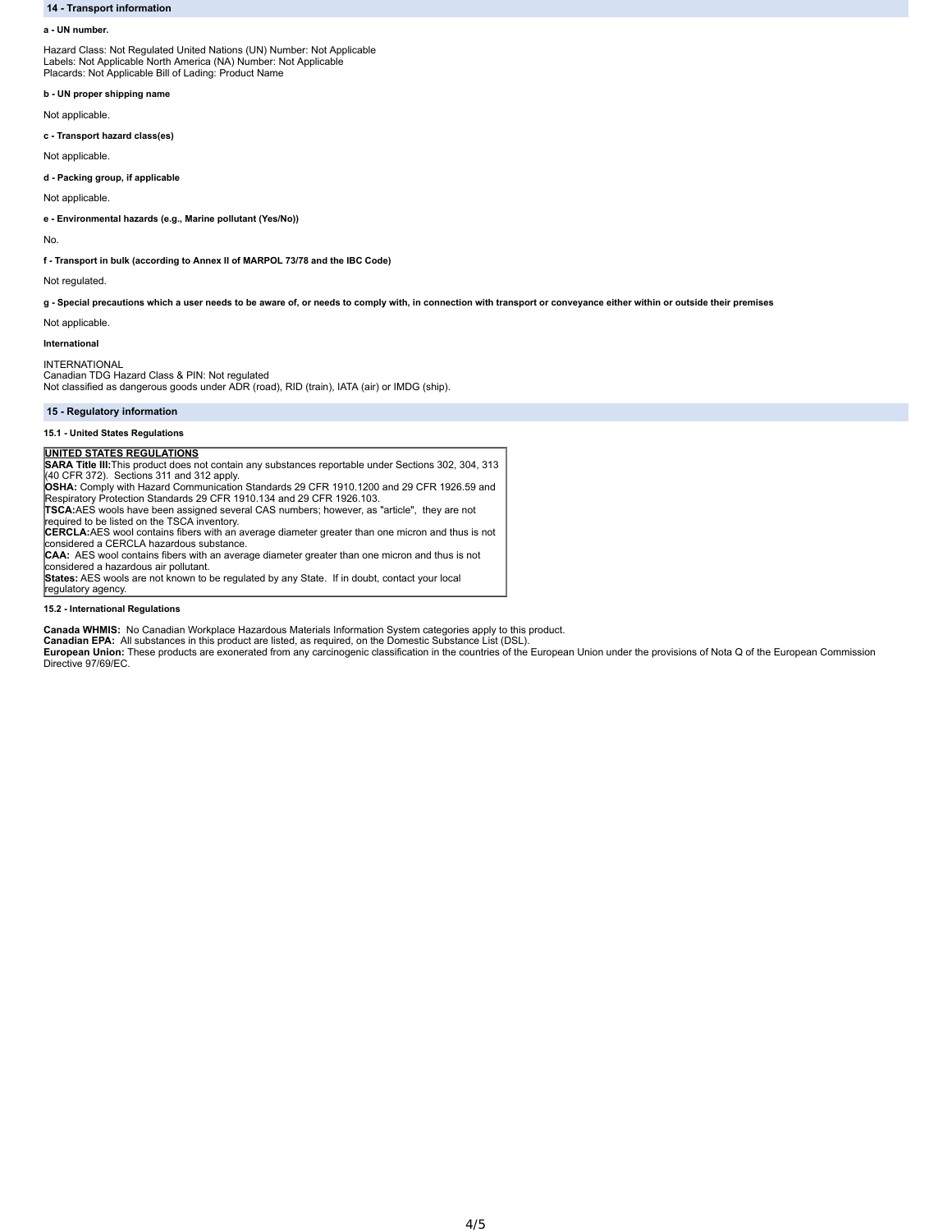# **14 - Transport information**

### **a - UN number.**

Hazard Class: Not Regulated United Nations (UN) Number: Not Applicable Labels: Not Applicable North America (NA) Number: Not Applicable Placards: Not Applicable Bill of Lading: Product Name

**b - UN proper shipping name**

Not applicable.

**c - Transport hazard class(es)**

Not applicable.

**d - Packing group, if applicable**

Not applicable.

**e - Environmental hazards (e.g., Marine pollutant (Yes/No))**

No.

**f - Transport in bulk (according to Annex II of MARPOL 73/78 and the IBC Code)**

Not regulated.

g - Special precautions which a user needs to be aware of, or needs to comply with, in connection with transport or conveyance either within or outside their premises

Not applicable.

# **International**

INTERNATIONAL Canadian TDG Hazard Class & PIN: Not regulated Not classified as dangerous goods under ADR (road), RID (train), IATA (air) or IMDG (ship).

# **15 - Regulatory information**

# **15.1 - United States Regulations**

**UNITED STATES REGULATIONS SARA Title III:**This product does not contain any substances reportable under Sections 302, 304, 313 (40 CFR 372). Sections 311 and 312 apply.

**OSHA:** Comply with Hazard Communication Standards 29 CFR 1910.1200 and 29 CFR 1926.59 and Respiratory Protection Standards 29 CFR 1910.134 and 29 CFR 1926.103.

**TSCA:**AES wools have been assigned several CAS numbers; however, as "article", they are not

required to be listed on the TSCA inventory. **CERCLA:**AES wool contains fibers with an average diameter greater than one micron and thus is not

considered a CERCLA hazardous substance. **CAA:** AES wool contains fibers with an average diameter greater than one micron and thus is not

considered a hazardous air pollutant. **States:** AES wools are not known to be regulated by any State. If in doubt, contact your local regulatory agency.

# **15.2 - International Regulations**

**Canada WHMIS:** No Canadian Workplace Hazardous Materials Information System categories apply to this product.

Canadian EPA: All substances in this product are listed, as required, on the Domestic Substance List (DSL).<br>European Union: These products are exonerated from any carcinogenic classification in the countries of the Europea Directive 97/69/EC.